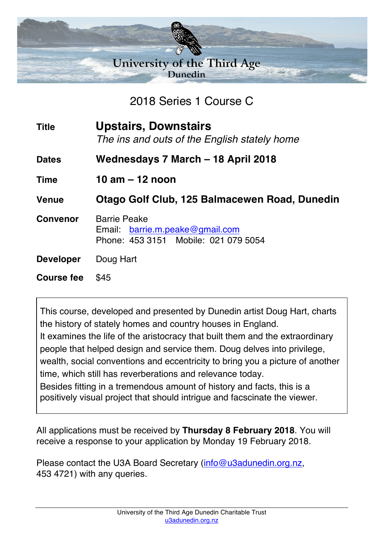

2018 Series 1 Course C

**Title Upstairs, Downstairs** *The ins and outs of the English stately home*

**Dates Wednesdays 7 March – 18 April 2018**

**Time 10 am – 12 noon**

**Venue Otago Golf Club, 125 Balmacewen Road, Dunedin**

**Convenor** Barrie Peake Email: barrie.m.peake@gmail.com Phone: 453 3151 Mobile: 021 079 5054

**Developer** Doug Hart

**Course fee** \$45

This course, developed and presented by Dunedin artist Doug Hart, charts the history of stately homes and country houses in England. It examines the life of the aristocracy that built them and the extraordinary people that helped design and service them. Doug delves into privilege, wealth, social conventions and eccentricity to bring you a picture of another time, which still has reverberations and relevance today.

Besides fitting in a tremendous amount of history and facts, this is a positively visual project that should intrigue and facscinate the viewer.

All applications must be received by **Thursday 8 February 2018**. You will receive a response to your application by Monday 19 February 2018.

Please contact the U3A Board Secretary (info@u3adunedin.org.nz, 453 4721) with any queries.